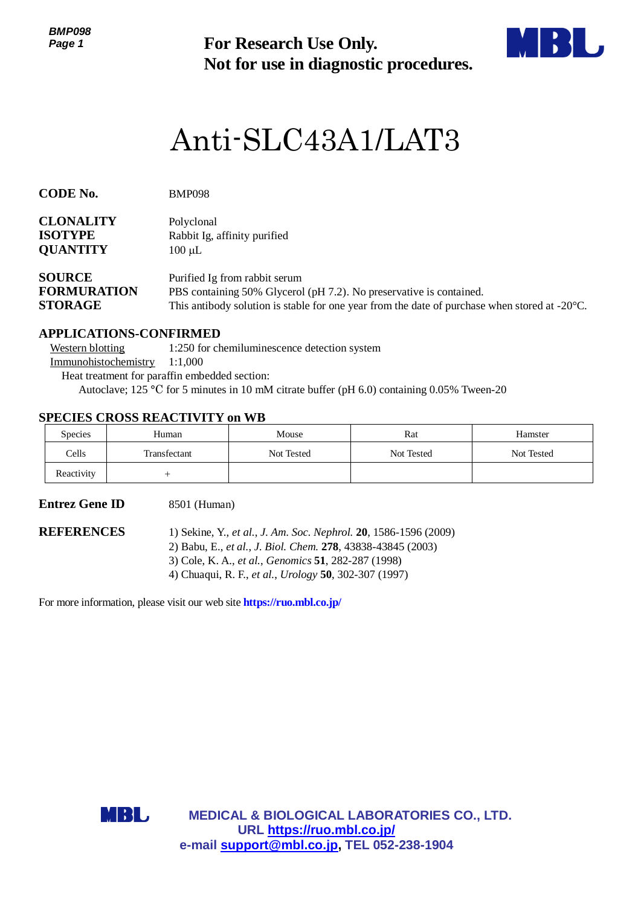*BMP098 Page 1*



# Anti-SLC43A1/LAT3

| Page 1                                                |                                                                                                                                                                                                                                  | <b>For Research Use Only.</b><br>Not for use in diagnostic procedures.                                                                                                                                                                          |                                                        |            |  |  |
|-------------------------------------------------------|----------------------------------------------------------------------------------------------------------------------------------------------------------------------------------------------------------------------------------|-------------------------------------------------------------------------------------------------------------------------------------------------------------------------------------------------------------------------------------------------|--------------------------------------------------------|------------|--|--|
|                                                       |                                                                                                                                                                                                                                  |                                                                                                                                                                                                                                                 | Anti-SLC43A1/LAT3                                      |            |  |  |
| <b>CODE No.</b>                                       | <b>BMP098</b>                                                                                                                                                                                                                    |                                                                                                                                                                                                                                                 |                                                        |            |  |  |
| <b>CLONALITY</b><br><b>ISOTYPE</b><br><b>QUANTITY</b> | Polyclonal<br>$100 \mu L$                                                                                                                                                                                                        | Rabbit Ig, affinity purified                                                                                                                                                                                                                    |                                                        |            |  |  |
| <b>SOURCE</b><br><b>FORMURATION</b><br><b>STORAGE</b> | Purified Ig from rabbit serum<br>PBS containing 50% Glycerol (pH 7.2). No preservative is contained.<br>This antibody solution is stable for one year from the date of purchase when stored at -20°C.                            |                                                                                                                                                                                                                                                 |                                                        |            |  |  |
| <b>Western blotting</b><br>Immunohistochemistry       | <b>APPLICATIONS-CONFIRMED</b><br>1:1,000<br>Heat treatment for paraffin embedded section:<br>Autoclave; 125 °C for 5 minutes in 10 mM citrate buffer (pH 6.0) containing 0.05% Tween-20<br><b>SPECIES CROSS REACTIVITY on WB</b> | 1:250 for chemiluminescence detection system                                                                                                                                                                                                    |                                                        |            |  |  |
| Species                                               | Human                                                                                                                                                                                                                            | Mouse                                                                                                                                                                                                                                           | Rat                                                    | Hamster    |  |  |
| Cells                                                 | Transfectant                                                                                                                                                                                                                     | Not Tested                                                                                                                                                                                                                                      | Not Tested                                             | Not Tested |  |  |
| Reactivity                                            | $^{+}$                                                                                                                                                                                                                           |                                                                                                                                                                                                                                                 |                                                        |            |  |  |
| <b>Entrez Gene ID</b>                                 | 8501 (Human)                                                                                                                                                                                                                     |                                                                                                                                                                                                                                                 |                                                        |            |  |  |
| <b>REFERENCES</b>                                     |                                                                                                                                                                                                                                  | 1) Sekine, Y., et al., J. Am. Soc. Nephrol. 20, 1586-1596 (2009)<br>2) Babu, E., et al., J. Biol. Chem. 278, 43838-43845 (2003)<br>3) Cole, K. A., et al., Genomics 51, 282-287 (1998)<br>4) Chuaqui, R. F., et al., Urology 50, 302-307 (1997) |                                                        |            |  |  |
|                                                       | For more information, please visit our web site https://ruo.mbl.co.jp/                                                                                                                                                           |                                                                                                                                                                                                                                                 |                                                        |            |  |  |
|                                                       |                                                                                                                                                                                                                                  |                                                                                                                                                                                                                                                 |                                                        |            |  |  |
|                                                       | MBL                                                                                                                                                                                                                              | URL https://ruo.mbl.co.jp/<br>e-mail support@mbl.co.jp, TEL 052-238-1904                                                                                                                                                                        | <b>MEDICAL &amp; BIOLOGICAL LABORATORIES CO., LTD.</b> |            |  |  |

### **APPLICATIONS-CONFIRMED**

### **SPECIES CROSS REACTIVITY on WB**

| <b>Species</b> | Human        | Mouse      | Rat        | Hamster    |
|----------------|--------------|------------|------------|------------|
| Cells          | Transfectant | Not Tested | Not Tested | Not Tested |
| Reactivity     |              |            |            |            |

## **Entrez Gene ID** 8501 (Human)

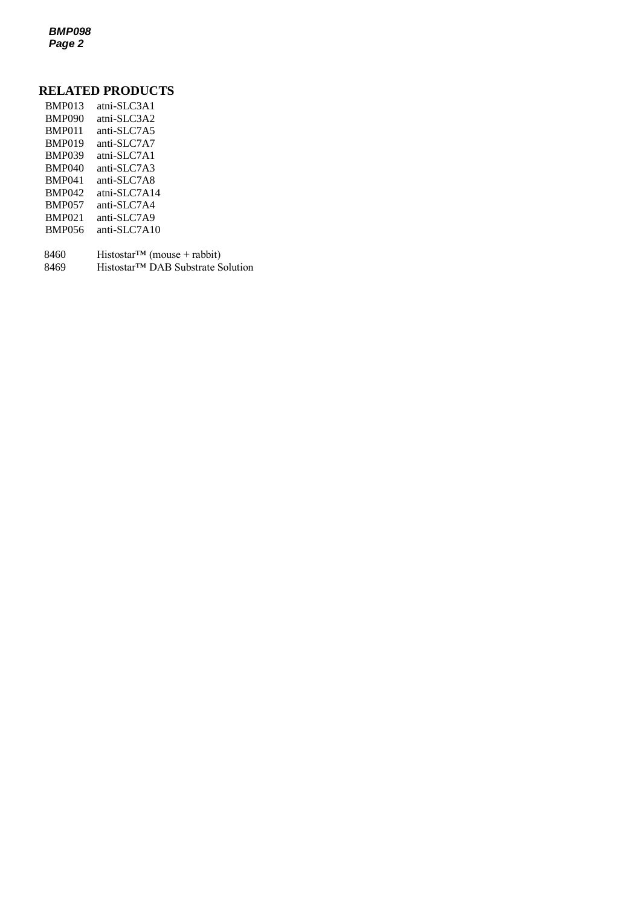*BMP098 Page 2*

## **RELATED PRODUCTS**

| <b>BMP013</b> | atni-SLC3A1                    |
|---------------|--------------------------------|
| <b>BMP090</b> | atni-SLC3A2                    |
| <b>BMP011</b> | anti-SLC7A5                    |
| <b>BMP019</b> | anti-SLC7A7                    |
| <b>BMP039</b> | atni-SLC7A1                    |
| <b>BMP040</b> | anti-SLC7A3                    |
| <b>BMP041</b> | anti-SLC7A8                    |
| <b>BMP042</b> | atni-SLC7A14                   |
| <b>BMP057</b> | anti-SLC7A4                    |
| <b>BMP021</b> | anti-SLC7A9                    |
| <b>BMP056</b> | anti-SLC7A10                   |
|               |                                |
| 8460          | $HistostarTM$ (mouse + rabbit) |

8469 Histostar™ DAB Substrate Solution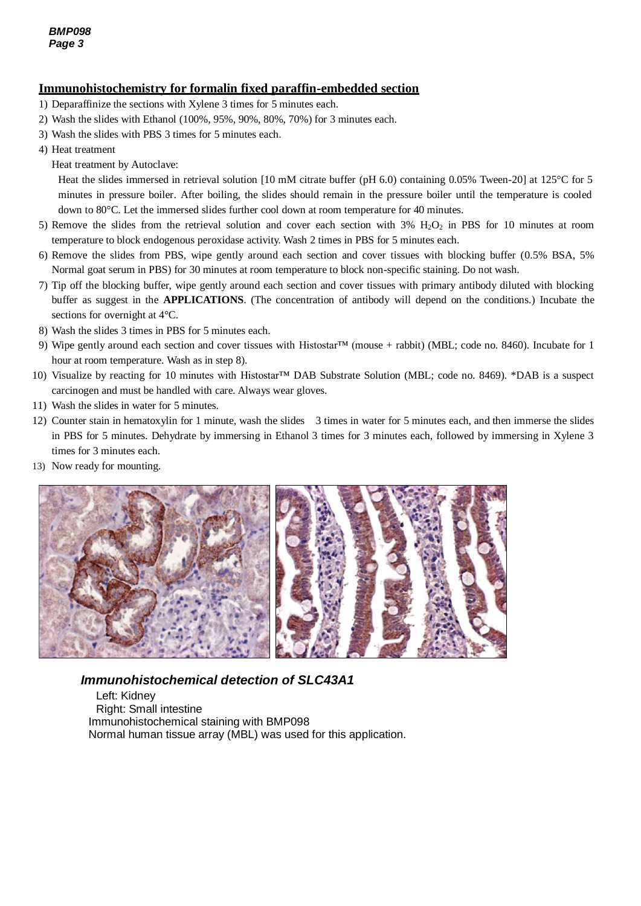## **Immunohistochemistry for formalin fixed paraffin-embedded section**

- 1) Deparaffinize the sections with Xylene 3 times for 5 minutes each.
- 2) Wash the slides with Ethanol (100%, 95%, 90%, 80%, 70%) for 3 minutes each.
- 3) Wash the slides with PBS 3 times for 5 minutes each.
- 4) Heat treatment
	- Heat treatment by Autoclave:

Heat the slides immersed in retrieval solution [10 mM citrate buffer (pH 6.0) containing 0.05% Tween-20] at 125°C for 5 minutes in pressure boiler. After boiling, the slides should remain in the pressure boiler until the temperature is cooled down to 80°C. Let the immersed slides further cool down at room temperature for 40 minutes.

- 5) Remove the slides from the retrieval solution and cover each section with  $3\%$  H<sub>2</sub>O<sub>2</sub> in PBS for 10 minutes at room temperature to block endogenous peroxidase activity. Wash 2 times in PBS for 5 minutes each.
- 6) Remove the slides from PBS, wipe gently around each section and cover tissues with blocking buffer (0.5% BSA, 5% Normal goat serum in PBS) for 30 minutes at room temperature to block non-specific staining. Do not wash.
- 7) Tip off the blocking buffer, wipe gently around each section and cover tissues with primary antibody diluted with blocking buffer as suggest in the **APPLICATIONS**. (The concentration of antibody will depend on the conditions.) Incubate the sections for overnight at 4°C.
- 8) Wash the slides 3 times in PBS for 5 minutes each.
- 9) Wipe gently around each section and cover tissues with Histostar™ (mouse + rabbit) (MBL; code no. 8460). Incubate for 1 hour at room temperature. Wash as in step 8).
- 10) Visualize by reacting for 10 minutes with Histostar™ DAB Substrate Solution (MBL; code no. 8469). \*DAB is a suspect carcinogen and must be handled with care. Always wear gloves.
- 11) Wash the slides in water for 5 minutes.
- 12) Counter stain in hematoxylin for 1 minute, wash the slides 3 times in water for 5 minutes each, and then immerse the slides in PBS for 5 minutes. Dehydrate by immersing in Ethanol 3 times for 3 minutes each, followed by immersing in Xylene 3 times for 3 minutes each.
- 13) Now ready for mounting.



## *Immunohistochemical detection of SLC43A1*

Left: Kidney Right: Small intestine Immunohistochemical staining with BMP098 Normal human tissue array (MBL) was used for this application.